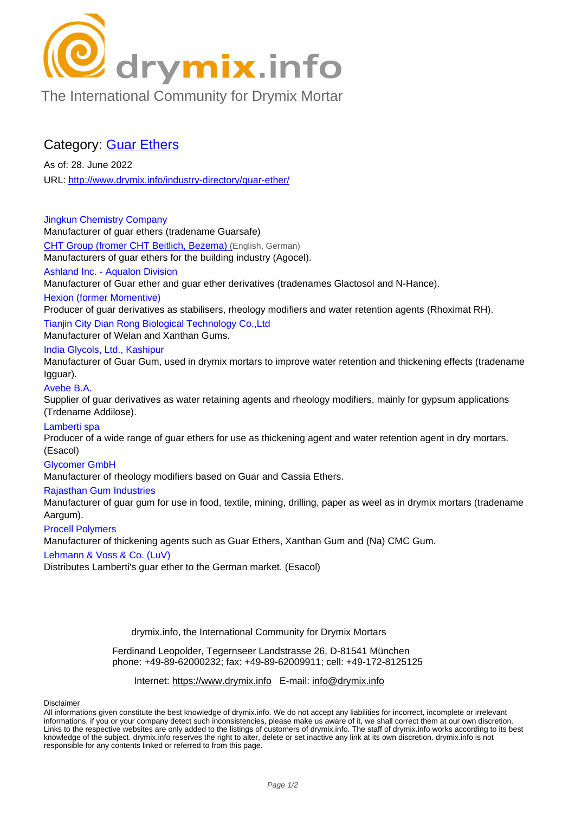

[The International Community for Drymix Mortar](/industry-directory/)

## Category: Guar Ethers

As of: 28. June 2022 URL: http://www.drymix.info/industry-directory/guar-ether/

Jingkun Chemistry Company Manu[facturer of guar ethers \(tradename Guarsafe\)](http://www.drymix.info/industry-directory/guar-ether/) CHT Group (fromer CHT Beitlich, Bezema) (English, German) Manufacturers of guar ethers for the building industry (Agocel). Ashland Inc. - Aqualon Division Manufacturer of Guar ether and guar ether derivatives (tradenames Glactosol and N-Hance). [Hexion \(former Momentive\)](http://www.drymix.info/industry-directory/redir.php?lid=8452) Producer of guar derivatives as stabilisers, rheology modifiers and water retention agents (Rhoximat RH). Tianjin City Dian Rong Biological Technology Co.,Ltd Manufacturer of Welan and Xanthan Gums. India Glycols, Ltd., Kashipur Manufacturer of Guar Gum, used in drymix mortars to improve water retention and thickening effects (tradename Igguar). Avebe B.A. Supplier of guar derivatives as water retaining agents and rheology modifiers, mainly for gypsum applications (Trdename Addilose). Lamberti spa Producer of a wide range of guar ethers for use as thickening agent and water retention agent in dry mortars. (Esacol) Glycomer GmbH Manufacturer of rheology modifiers based on Guar and Cassia Ethers. Rajasthan Gum Industries Manufacturer of guar gum for use in food, textile, mining, drilling, paper as weel as in drymix mortars (tradename Aargum). Procell Polymers Manufacturer of thickening agents such as Guar Ethers, Xanthan Gum and (Na) CMC Gum. Lehmann & Voss & Co. (LuV) Distributes Lamberti's guar ether to the German market. (Esacol)

drymix.info, the International Community for Drymix Mortars

Ferdinand Leopolder, Tegernseer Landstrasse 26, D-81541 München phone: +49-89-62000232; fax: +49-89-62009911; cell: +49-172-8125125

Internet: https://www.drymix.info E-mail: info@drymix.info

Disclaimer

All informations given constitute the best knowledge of drymix.info. We do not accept any liabilities for incorrect, incomplete or irrelevant informations, if you or your company detect such inconsistencies, please make us aware of it, we shall correct them at our own discretion. Links to the respective websites are [only added to the listings of cu](https://www.drymix.info)stomers of [drymix.info. The staff o](mailto:info@drymix.info)f drymix.info works according to its best knowledge of the subject. drymix.info reserves the right to alter, delete or set inactive any link at its own discretion. drymix.info is not [responsible](https://www.drymix.info/disclaimer.html) for any contents linked or referred to from this page.